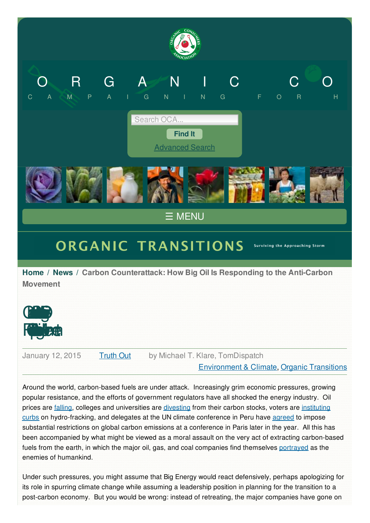



January 12, 2015 [Truth](http://www.truth-out.org/news/item/28426-carbon-counterattack-how-big-oil-is-responding-to-the-anti-carbon-movement) Out by Michael T. Klare, TomDispatch

[Environment](/environment-and-climate) & Climate, Organic [Transitions](/categories/organic-transitions)

Around the world, carbon-based fuels are under attack. Increasingly grim economic pressures, growing popular resistance, and the efforts of government regulators have all shocked the energy industry. Oil prices are [falling](http://www.reuters.com/article/2014/12/29/us-markets-oil-idUSKBN0K701D20141229), colleges and universities are [divesting](http://dealbook.nytimes.com/2013/09/05/a-new-divestment-focus-fossil-fuels/) from their carbon stocks, voters are instituting curbs on [hydro-fracking,](http://www.reuters.com/article/2014/11/05/us-energy-texas-fracking-idUSKBN0IP1K120141105) and delegates at the UN climate conference in Peru have [agreed](http://cnsnews.com/news/article/deal-salvaged-un-climate-talks-peru) to impose substantial restrictions on global carbon emissions at a conference in Paris later in the year. All this has been accompanied by what might be viewed as a moral assault on the very act of extracting carbon-based fuels from the earth, in which the major oil, gas, and coal companies find themselves [portrayed](http://www.tomdispatch.com/post/175703/tomgram:_engelhardt,_the_biggest_criminal_enterprise_in_history/) as the enemies of humankind.

Under such pressures, you might assume that Big Energy would react defensively, perhaps apologizing for its role in spurring climate change while assuming a leadership position in planning for the transition to a post-carbon economy. But you would be wrong: instead of retreating, the major companies have gone on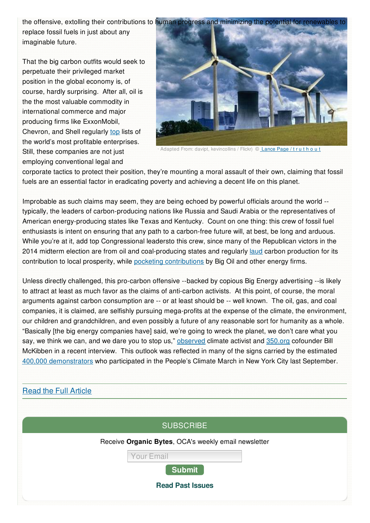the offensive, extolling their contributions to human progress and [minimizing](/file/wind-generators) the potential for renewable

replace fossil fuels in just about any imaginable future.

That the big carbon outfits would seek to perpetuate their privileged market position in the global economy is, of course, hardly surprising. After all, oil is the the most valuable commodity in international commerce and major producing firms like ExxonMobil, Chevron, and Shell regularly [top](http://fortune.com/fortune500/) lists of the world's most profitable enterprises. Still, these companies are not just employing conventional legal and



· Adapted From: davipt, kevincollins / Flickr) © [Lance](https://www.flickr.com/photos/truthout/4019814800/in/photolist-) Page / t r u t h o u t

corporate tactics to protect their position, they're mounting a moral assault of their own, claiming that fossil fuels are an essential factor in eradicating poverty and achieving a decent life on this planet.

Improbable as such claims may seem, they are being echoed by powerful officials around the world - typically, the leaders of carbon-producing nations like Russia and Saudi Arabia or the representatives of American energy-producing states like Texas and Kentucky. Count on one thing: this crew of fossil fuel enthusiasts is intent on ensuring that any path to a carbon-free future will, at best, be long and arduous. While you're at it, add top Congressional leadersto this crew, since many of the Republican victors in the 2014 midterm election are from oil and coal-producing states and regularly [laud](http://www.foxnews.com/politics/2014/10/14/mcconnell-grimes-exchange-accusations-their-first-and-only-kentucky-senate/) carbon production for its contribution to local prosperity, while pocketing [contributions](http://www.tomdispatch.com/blog/175924/) by Big Oil and other energy firms.

Unless directly challenged, this pro-carbon offensive --backed by copious Big Energy advertising --is likely to attract at least as much favor as the claims of anti-carbon activists. At this point, of course, the moral arguments against carbon consumption are -- or at least should be -- well known. The oil, gas, and coal companies, it is claimed, are selfishly pursuing mega-profits at the expense of the climate, the environment, our children and grandchildren, and even possibly a future of any reasonable sort for humanity as a whole. "Basically [the big energy companies have] said, we're going to wreck the planet, we don't care what you say, we think we can, and we dare you to stop us," [observed](http://texasclimatenews.org/wp/?p=9978) climate activist and [350.org](http://350.org/) cofounder Bill McKibben in a recent interview. This outlook was reflected in many of the signs carried by the estimated 400,000 [demonstrators](http://www.businessinsider.com/peoples-climate-march-new-york-city-photos-2014-9?op=1) who participated in the People's Climate March in New York City last September.

### Read the Full [Article](http://www.truth-out.org/news/item/28426-carbon-counterattack-how-big-oil-is-responding-to-the-anti-carbon-movement)